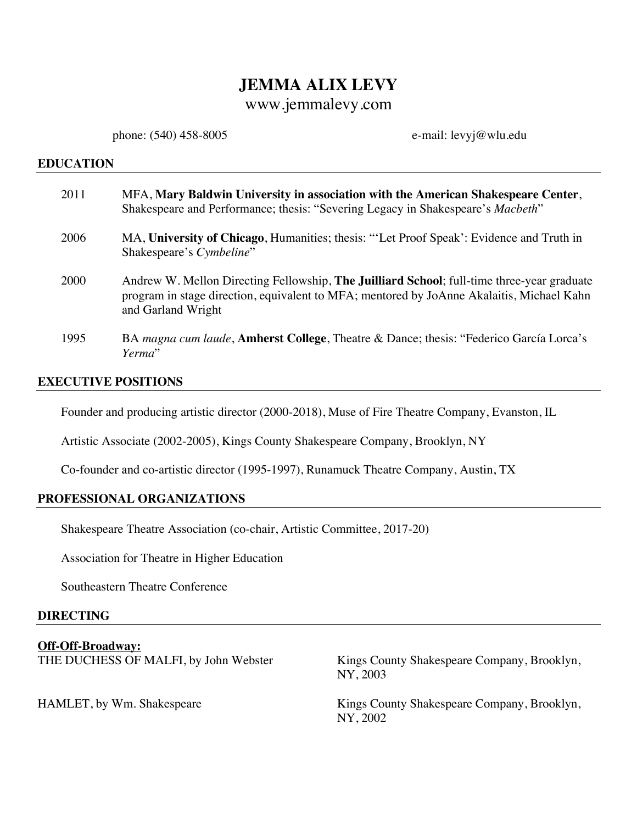# **JEMMA ALIX LEVY**

# www.jemmalevy.com

phone: (540) 458-8005 e-mail: levyj@wlu.edu

#### **EDUCATION**

| 2011 | MFA, Mary Baldwin University in association with the American Shakespeare Center,<br>Shakespeare and Performance; thesis: "Severing Legacy in Shakespeare's Macbeth"                                                  |
|------|-----------------------------------------------------------------------------------------------------------------------------------------------------------------------------------------------------------------------|
| 2006 | MA, University of Chicago, Humanities; thesis: "Let Proof Speak': Evidence and Truth in<br>Shakespeare's Cymbeline"                                                                                                   |
| 2000 | Andrew W. Mellon Directing Fellowship, <b>The Juilliard School</b> ; full-time three-year graduate<br>program in stage direction, equivalent to MFA; mentored by JoAnne Akalaitis, Michael Kahn<br>and Garland Wright |
| 1995 | BA magna cum laude, Amherst College, Theatre & Dance; thesis: "Federico García Lorca's<br>Yerma"                                                                                                                      |

### **EXECUTIVE POSITIONS**

Founder and producing artistic director (2000-2018), Muse of Fire Theatre Company, Evanston, IL

Artistic Associate (2002-2005), Kings County Shakespeare Company, Brooklyn, NY

Co-founder and co-artistic director (1995-1997), Runamuck Theatre Company, Austin, TX

### **PROFESSIONAL ORGANIZATIONS**

Shakespeare Theatre Association (co-chair, Artistic Committee, 2017-20)

Association for Theatre in Higher Education

Southeastern Theatre Conference

### **DIRECTING**

**Off-Off-Broadway:**

THE DUCHESS OF MALFI, by John Webster Kings County Shakespeare Company, Brooklyn, NY, 2003

HAMLET, by Wm. Shakespeare Kings County Shakespeare Company, Brooklyn, NY, 2002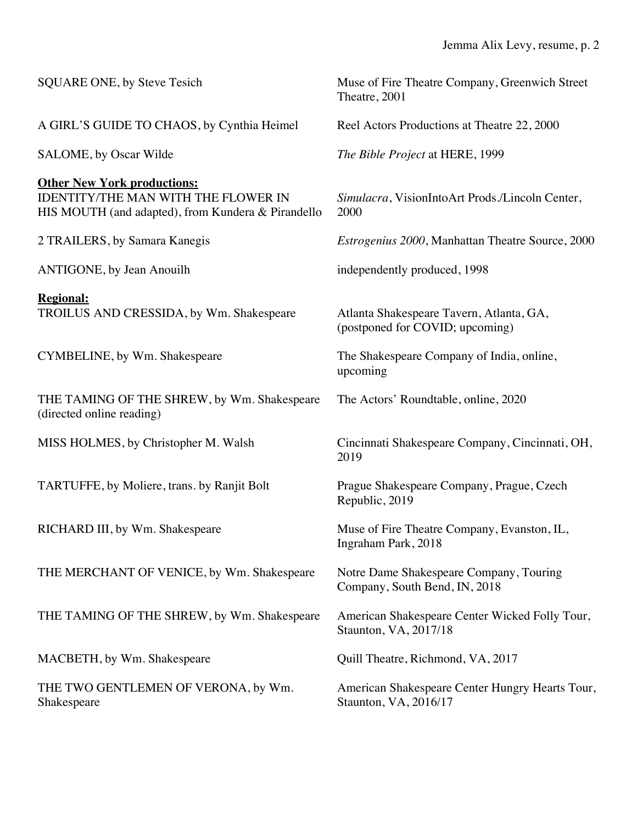| SQUARE ONE, by Steve Tesich                                                                                                            | Muse of Fire Theatre Company, Greenwich Street<br>Theatre, 2001             |
|----------------------------------------------------------------------------------------------------------------------------------------|-----------------------------------------------------------------------------|
| A GIRL'S GUIDE TO CHAOS, by Cynthia Heimel                                                                                             | Reel Actors Productions at Theatre 22, 2000                                 |
| SALOME, by Oscar Wilde                                                                                                                 | The Bible Project at HERE, 1999                                             |
| <b>Other New York productions:</b><br><b>IDENTITY/THE MAN WITH THE FLOWER IN</b><br>HIS MOUTH (and adapted), from Kundera & Pirandello | Simulacra, VisionIntoArt Prods./Lincoln Center,<br>2000                     |
| 2 TRAILERS, by Samara Kanegis                                                                                                          | <i>Estrogenius 2000</i> , Manhattan Theatre Source, 2000                    |
| <b>ANTIGONE</b> , by Jean Anouilh                                                                                                      | independently produced, 1998                                                |
| <b>Regional:</b><br>TROILUS AND CRESSIDA, by Wm. Shakespeare                                                                           | Atlanta Shakespeare Tavern, Atlanta, GA,<br>(postponed for COVID; upcoming) |
| CYMBELINE, by Wm. Shakespeare                                                                                                          | The Shakespeare Company of India, online,<br>upcoming                       |
| THE TAMING OF THE SHREW, by Wm. Shakespeare<br>(directed online reading)                                                               | The Actors' Roundtable, online, 2020                                        |
| MISS HOLMES, by Christopher M. Walsh                                                                                                   | Cincinnati Shakespeare Company, Cincinnati, OH,<br>2019                     |
| TARTUFFE, by Moliere, trans. by Ranjit Bolt                                                                                            | Prague Shakespeare Company, Prague, Czech<br>Republic, 2019                 |
| RICHARD III, by Wm. Shakespeare                                                                                                        | Muse of Fire Theatre Company, Evanston, IL,<br>Ingraham Park, 2018          |
| THE MERCHANT OF VENICE, by Wm. Shakespeare                                                                                             | Notre Dame Shakespeare Company, Touring<br>Company, South Bend, IN, 2018    |
| THE TAMING OF THE SHREW, by Wm. Shakespeare                                                                                            | American Shakespeare Center Wicked Folly Tour,<br>Staunton, VA, 2017/18     |
| MACBETH, by Wm. Shakespeare                                                                                                            | Quill Theatre, Richmond, VA, 2017                                           |
| THE TWO GENTLEMEN OF VERONA, by Wm.<br>Shakespeare                                                                                     | American Shakespeare Center Hungry Hearts Tour,<br>Staunton, VA, 2016/17    |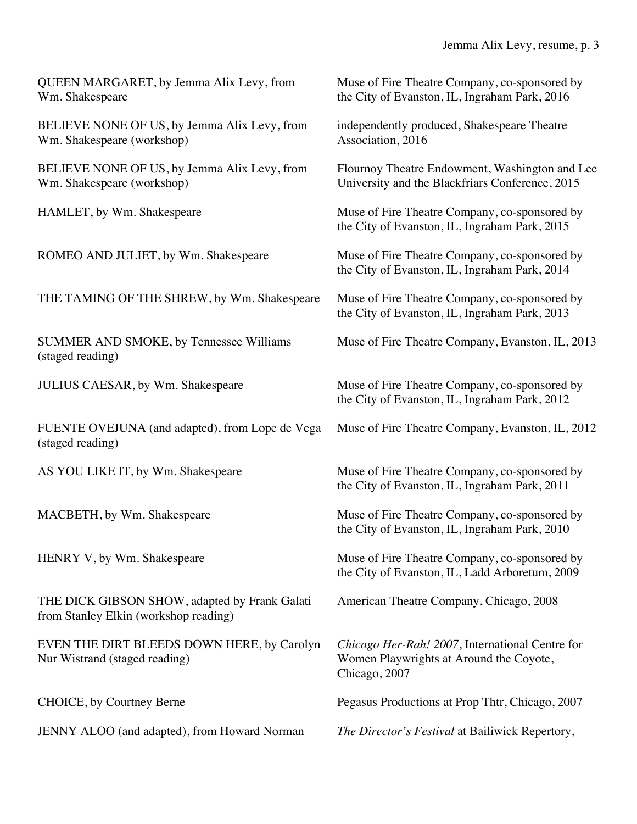# Jemma Alix Levy, resume, p. 3

| QUEEN MARGARET, by Jemma Alix Levy, from<br>Wm. Shakespeare                            | Muse of Fire Theatre Company, co-sponsored by<br>the City of Evanston, IL, Ingraham Park, 2016              |
|----------------------------------------------------------------------------------------|-------------------------------------------------------------------------------------------------------------|
| BELIEVE NONE OF US, by Jemma Alix Levy, from<br>Wm. Shakespeare (workshop)             | independently produced, Shakespeare Theatre<br>Association, 2016                                            |
| BELIEVE NONE OF US, by Jemma Alix Levy, from<br>Wm. Shakespeare (workshop)             | Flournoy Theatre Endowment, Washington and Lee<br>University and the Blackfriars Conference, 2015           |
| HAMLET, by Wm. Shakespeare                                                             | Muse of Fire Theatre Company, co-sponsored by<br>the City of Evanston, IL, Ingraham Park, 2015              |
| ROMEO AND JULIET, by Wm. Shakespeare                                                   | Muse of Fire Theatre Company, co-sponsored by<br>the City of Evanston, IL, Ingraham Park, 2014              |
| THE TAMING OF THE SHREW, by Wm. Shakespeare                                            | Muse of Fire Theatre Company, co-sponsored by<br>the City of Evanston, IL, Ingraham Park, 2013              |
| SUMMER AND SMOKE, by Tennessee Williams<br>(staged reading)                            | Muse of Fire Theatre Company, Evanston, IL, 2013                                                            |
| <b>JULIUS CAESAR, by Wm. Shakespeare</b>                                               | Muse of Fire Theatre Company, co-sponsored by<br>the City of Evanston, IL, Ingraham Park, 2012              |
| FUENTE OVEJUNA (and adapted), from Lope de Vega<br>(staged reading)                    | Muse of Fire Theatre Company, Evanston, IL, 2012                                                            |
| AS YOU LIKE IT, by Wm. Shakespeare                                                     | Muse of Fire Theatre Company, co-sponsored by<br>the City of Evanston, IL, Ingraham Park, 2011              |
| MACBETH, by Wm. Shakespeare                                                            | Muse of Fire Theatre Company, co-sponsored by<br>the City of Evanston, IL, Ingraham Park, 2010              |
| HENRY V, by Wm. Shakespeare                                                            | Muse of Fire Theatre Company, co-sponsored by<br>the City of Evanston, IL, Ladd Arboretum, 2009             |
| THE DICK GIBSON SHOW, adapted by Frank Galati<br>from Stanley Elkin (workshop reading) | American Theatre Company, Chicago, 2008                                                                     |
| EVEN THE DIRT BLEEDS DOWN HERE, by Carolyn<br>Nur Wistrand (staged reading)            | Chicago Her-Rah! 2007, International Centre for<br>Women Playwrights at Around the Coyote,<br>Chicago, 2007 |
| CHOICE, by Courtney Berne                                                              | Pegasus Productions at Prop Thtr, Chicago, 2007                                                             |
| JENNY ALOO (and adapted), from Howard Norman                                           | The Director's Festival at Bailiwick Repertory,                                                             |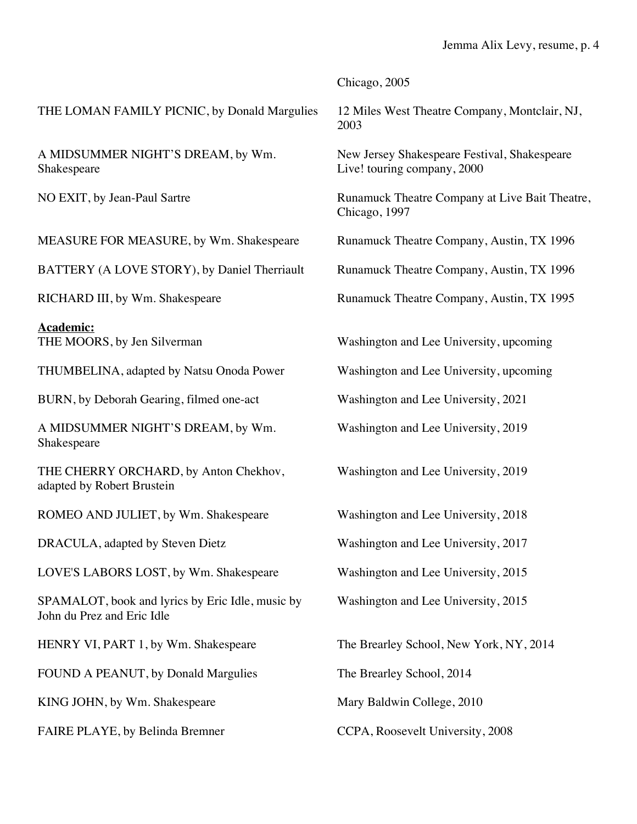|                                                                                | Chicago, 2005                                                               |
|--------------------------------------------------------------------------------|-----------------------------------------------------------------------------|
| THE LOMAN FAMILY PICNIC, by Donald Margulies                                   | 12 Miles West Theatre Company, Montclair, NJ,<br>2003                       |
| A MIDSUMMER NIGHT'S DREAM, by Wm.<br>Shakespeare                               | New Jersey Shakespeare Festival, Shakespeare<br>Live! touring company, 2000 |
| NO EXIT, by Jean-Paul Sartre                                                   | Runamuck Theatre Company at Live Bait Theatre,<br>Chicago, 1997             |
| MEASURE FOR MEASURE, by Wm. Shakespeare                                        | Runamuck Theatre Company, Austin, TX 1996                                   |
| BATTERY (A LOVE STORY), by Daniel Therriault                                   | Runamuck Theatre Company, Austin, TX 1996                                   |
| RICHARD III, by Wm. Shakespeare                                                | Runamuck Theatre Company, Austin, TX 1995                                   |
| <b>Academic:</b><br>THE MOORS, by Jen Silverman                                | Washington and Lee University, upcoming                                     |
| THUMBELINA, adapted by Natsu Onoda Power                                       | Washington and Lee University, upcoming                                     |
| BURN, by Deborah Gearing, filmed one-act                                       | Washington and Lee University, 2021                                         |
| A MIDSUMMER NIGHT'S DREAM, by Wm.<br>Shakespeare                               | Washington and Lee University, 2019                                         |
| THE CHERRY ORCHARD, by Anton Chekhov,<br>adapted by Robert Brustein            | Washington and Lee University, 2019                                         |
| ROMEO AND JULIET, by Wm. Shakespeare                                           | Washington and Lee University, 2018                                         |
| DRACULA, adapted by Steven Dietz                                               | Washington and Lee University, 2017                                         |
| LOVE'S LABORS LOST, by Wm. Shakespeare                                         | Washington and Lee University, 2015                                         |
| SPAMALOT, book and lyrics by Eric Idle, music by<br>John du Prez and Eric Idle | Washington and Lee University, 2015                                         |
| HENRY VI, PART 1, by Wm. Shakespeare                                           | The Brearley School, New York, NY, 2014                                     |
| FOUND A PEANUT, by Donald Margulies                                            | The Brearley School, 2014                                                   |
| KING JOHN, by Wm. Shakespeare                                                  | Mary Baldwin College, 2010                                                  |
| FAIRE PLAYE, by Belinda Bremner                                                | CCPA, Roosevelt University, 2008                                            |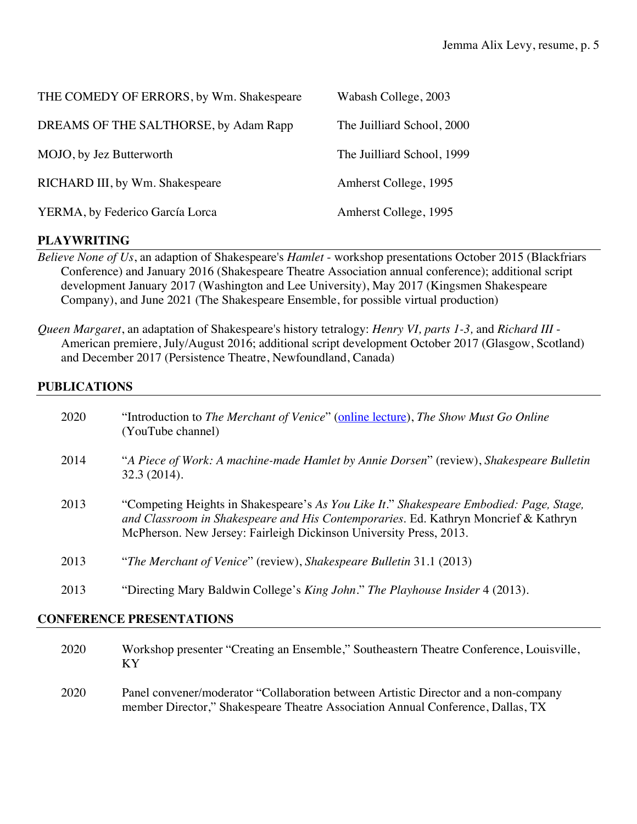| THE COMEDY OF ERRORS, by Wm. Shakespeare | Wabash College, 2003       |
|------------------------------------------|----------------------------|
| DREAMS OF THE SALTHORSE, by Adam Rapp    | The Juilliard School, 2000 |
| MOJO, by Jez Butterworth                 | The Juilliard School, 1999 |
| RICHARD III, by Wm. Shakespeare          | Amherst College, 1995      |
| YERMA, by Federico García Lorca          | Amherst College, 1995      |

### **PLAYWRITING**

- *Believe None of Us*, an adaption of Shakespeare's *Hamlet* workshop presentations October 2015 (Blackfriars Conference) and January 2016 (Shakespeare Theatre Association annual conference); additional script development January 2017 (Washington and Lee University), May 2017 (Kingsmen Shakespeare Company), and June 2021 (The Shakespeare Ensemble, for possible virtual production)
- *Queen Margaret*, an adaptation of Shakespeare's history tetralogy: *Henry VI, parts 1-3,* and *Richard III* American premiere, July/August 2016; additional script development October 2017 (Glasgow, Scotland) and December 2017 (Persistence Theatre, Newfoundland, Canada)

### **PUBLICATIONS**

| 2020 | "Introduction to The Merchant of Venice" (online lecture), The Show Must Go Online<br>(YouTube channel)                                                                                                                                              |
|------|------------------------------------------------------------------------------------------------------------------------------------------------------------------------------------------------------------------------------------------------------|
| 2014 | "A Piece of Work: A machine-made Hamlet by Annie Dorsen" (review), Shakespeare Bulletin<br>32.3(2014).                                                                                                                                               |
| 2013 | "Competing Heights in Shakespeare's As You Like It." Shakespeare Embodied: Page, Stage,<br>and Classroom in Shakespeare and His Contemporaries. Ed. Kathryn Moncrief & Kathryn<br>McPherson. New Jersey: Fairleigh Dickinson University Press, 2013. |
| 2013 | "The Merchant of Venice" (review), Shakespeare Bulletin 31.1 (2013)                                                                                                                                                                                  |
| 2013 | "Directing Mary Baldwin College's <i>King John." The Playhouse Insider</i> 4 (2013).                                                                                                                                                                 |

### **CONFERENCE PRESENTATIONS**

| 2020 | Workshop presenter "Creating an Ensemble," Southeastern Theatre Conference, Louisville,<br>K Y                                                                         |
|------|------------------------------------------------------------------------------------------------------------------------------------------------------------------------|
| 2020 | Panel convener/moderator "Collaboration between Artistic Director and a non-company<br>member Director," Shakespeare Theatre Association Annual Conference, Dallas, TX |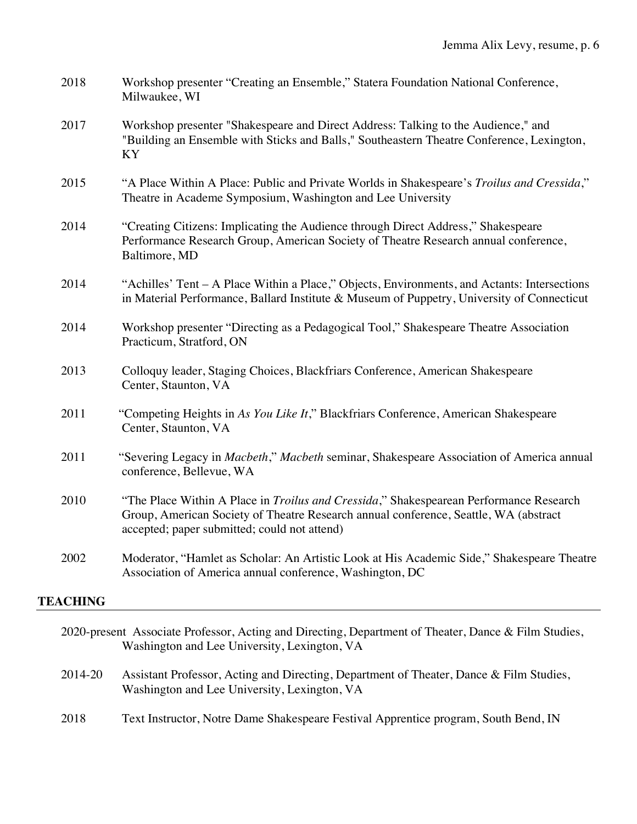| 2018 | Workshop presenter "Creating an Ensemble," Statera Foundation National Conference,<br>Milwaukee, WI                                                                                                                            |
|------|--------------------------------------------------------------------------------------------------------------------------------------------------------------------------------------------------------------------------------|
| 2017 | Workshop presenter "Shakespeare and Direct Address: Talking to the Audience," and<br>"Building an Ensemble with Sticks and Balls," Southeastern Theatre Conference, Lexington,<br>KY                                           |
| 2015 | "A Place Within A Place: Public and Private Worlds in Shakespeare's Troilus and Cressida,"<br>Theatre in Academe Symposium, Washington and Lee University                                                                      |
| 2014 | "Creating Citizens: Implicating the Audience through Direct Address," Shakespeare<br>Performance Research Group, American Society of Theatre Research annual conference,<br>Baltimore, MD                                      |
| 2014 | "Achilles' Tent – A Place Within a Place," Objects, Environments, and Actants: Intersections<br>in Material Performance, Ballard Institute & Museum of Puppetry, University of Connecticut                                     |
| 2014 | Workshop presenter "Directing as a Pedagogical Tool," Shakespeare Theatre Association<br>Practicum, Stratford, ON                                                                                                              |
| 2013 | Colloquy leader, Staging Choices, Blackfriars Conference, American Shakespeare<br>Center, Staunton, VA                                                                                                                         |
| 2011 | "Competing Heights in As You Like It," Blackfriars Conference, American Shakespeare<br>Center, Staunton, VA                                                                                                                    |
| 2011 | "Severing Legacy in Macbeth," Macbeth seminar, Shakespeare Association of America annual<br>conference, Bellevue, WA                                                                                                           |
| 2010 | "The Place Within A Place in Troilus and Cressida," Shakespearean Performance Research<br>Group, American Society of Theatre Research annual conference, Seattle, WA (abstract<br>accepted; paper submitted; could not attend) |
| 2002 | Moderator, "Hamlet as Scholar: An Artistic Look at His Academic Side," Shakespeare Theatre<br>Association of America annual conference, Washington, DC                                                                         |
|      |                                                                                                                                                                                                                                |

## **TEACHING**

| 2020-present Associate Professor, Acting and Directing, Department of Theater, Dance & Film Studies, |                                                                                         |
|------------------------------------------------------------------------------------------------------|-----------------------------------------------------------------------------------------|
|                                                                                                      | Washington and Lee University, Lexington, VA                                            |
|                                                                                                      |                                                                                         |
| 2014-20                                                                                              | Assistant Professor, Acting and Directing, Department of Theater, Dance & Film Studies, |
|                                                                                                      | Washington and Lee University, Lexington, VA                                            |
|                                                                                                      |                                                                                         |
| 2018                                                                                                 | Text Instructor, Notre Dame Shakespeare Festival Apprentice program, South Bend, IN     |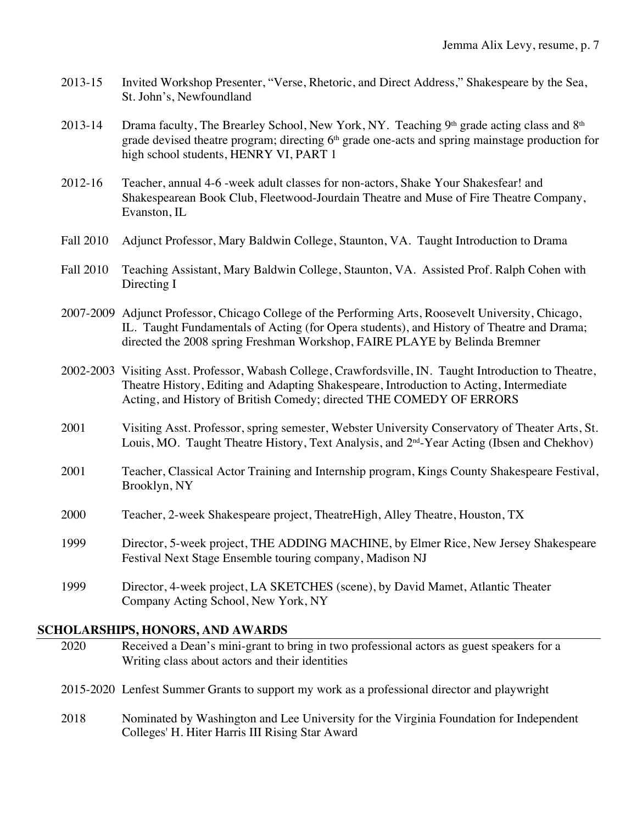- 2013-15 Invited Workshop Presenter, "Verse, Rhetoric, and Direct Address," Shakespeare by the Sea, St. John's, Newfoundland
- 2013-14 Drama faculty, The Brearley School, New York, NY. Teaching  $9<sup>th</sup>$  grade acting class and  $8<sup>th</sup>$ grade devised theatre program; directing 6<sup>th</sup> grade one-acts and spring mainstage production for high school students, HENRY VI, PART 1
- 2012-16 Teacher, annual 4-6 -week adult classes for non-actors, Shake Your Shakesfear! and Shakespearean Book Club, Fleetwood-Jourdain Theatre and Muse of Fire Theatre Company, Evanston, IL
- Fall 2010 Adjunct Professor, Mary Baldwin College, Staunton, VA. Taught Introduction to Drama
- Fall 2010 Teaching Assistant, Mary Baldwin College, Staunton, VA. Assisted Prof. Ralph Cohen with Directing I

2007-2009 Adjunct Professor, Chicago College of the Performing Arts, Roosevelt University, Chicago, IL. Taught Fundamentals of Acting (for Opera students), and History of Theatre and Drama; directed the 2008 spring Freshman Workshop, FAIRE PLAYE by Belinda Bremner

- 2002-2003 Visiting Asst. Professor, Wabash College, Crawfordsville, IN. Taught Introduction to Theatre, Theatre History, Editing and Adapting Shakespeare, Introduction to Acting, Intermediate Acting, and History of British Comedy; directed THE COMEDY OF ERRORS
- 2001 Visiting Asst. Professor, spring semester, Webster University Conservatory of Theater Arts, St. Louis, MO. Taught Theatre History, Text Analysis, and 2<sup>nd</sup>-Year Acting (Ibsen and Chekhov)
- 2001 Teacher, Classical Actor Training and Internship program, Kings County Shakespeare Festival, Brooklyn, NY
- 2000 Teacher, 2-week Shakespeare project, TheatreHigh, Alley Theatre, Houston, TX
- 1999 Director, 5-week project, THE ADDING MACHINE, by Elmer Rice, New Jersey Shakespeare Festival Next Stage Ensemble touring company, Madison NJ
- 1999 Director, 4-week project, LA SKETCHES (scene), by David Mamet, Atlantic Theater Company Acting School, New York, NY

#### **SCHOLARSHIPS, HONORS, AND AWARDS**

| 2020 | Received a Dean's mini-grant to bring in two professional actors as guest speakers for a<br>Writing class about actors and their identities |
|------|---------------------------------------------------------------------------------------------------------------------------------------------|
|      | 2015-2020 Lenfest Summer Grants to support my work as a professional director and playwright                                                |
| 2018 | Nominated by Washington and Lee University for the Virginia Foundation for Independent<br>Colleges' H. Hiter Harris III Rising Star Award   |